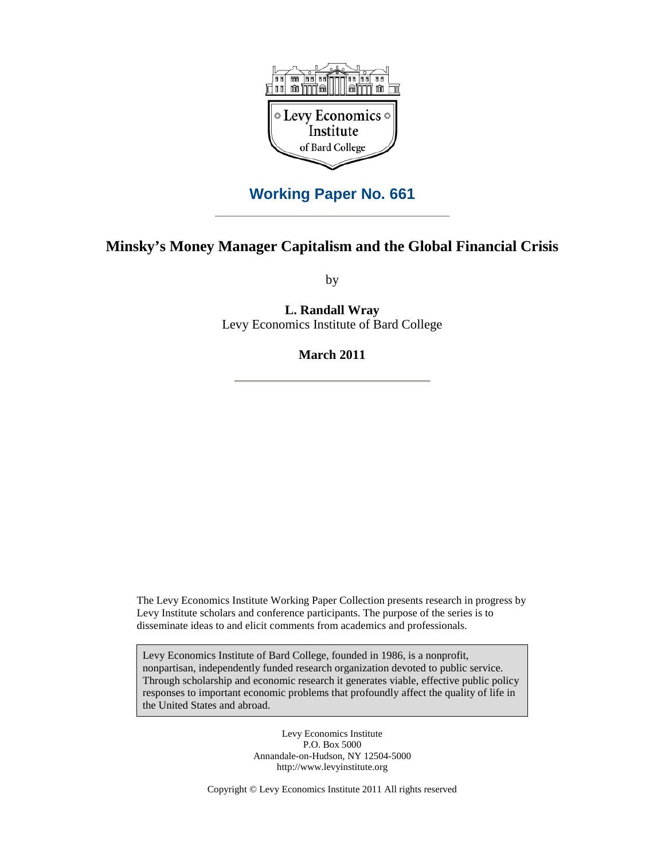

# **Working Paper No. 661**

## **Minsky's Money Manager Capitalism and the Global Financial Crisis**

by

**L. Randall Wray**  Levy Economics Institute of Bard College

**March 2011** 

The Levy Economics Institute Working Paper Collection presents research in progress by Levy Institute scholars and conference participants. The purpose of the series is to disseminate ideas to and elicit comments from academics and professionals.

Levy Economics Institute of Bard College, founded in 1986, is a nonprofit, nonpartisan, independently funded research organization devoted to public service. Through scholarship and economic research it generates viable, effective public policy responses to important economic problems that profoundly affect the quality of life in the United States and abroad.

> Levy Economics Institute P.O. Box 5000 Annandale-on-Hudson, NY 12504-5000 http://www.levyinstitute.org

Copyright © Levy Economics Institute 2011 All rights reserved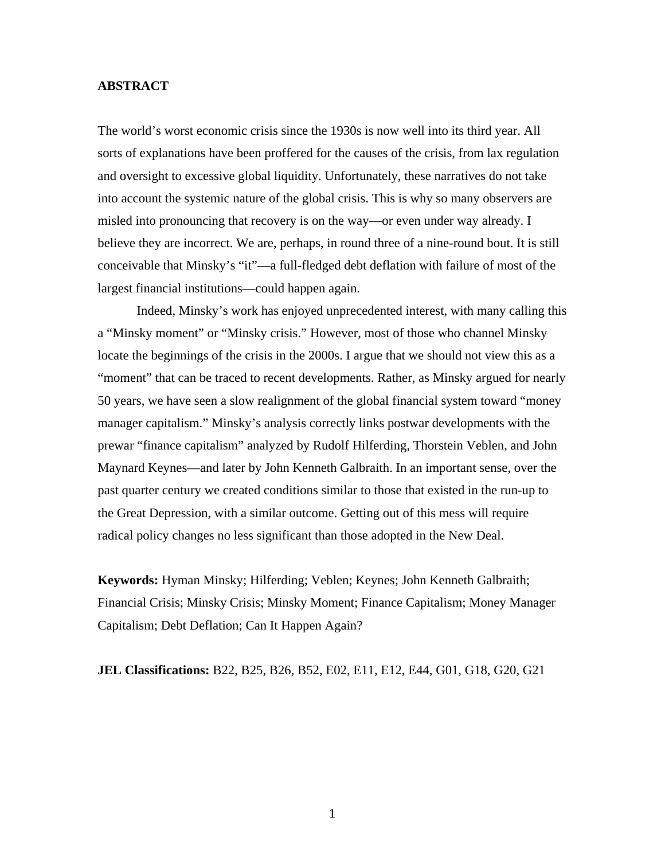#### **ABSTRACT**

The world's worst economic crisis since the 1930s is now well into its third year. All sorts of explanations have been proffered for the causes of the crisis, from lax regulation and oversight to excessive global liquidity. Unfortunately, these narratives do not take into account the systemic nature of the global crisis. This is why so many observers are misled into pronouncing that recovery is on the way—or even under way already. I believe they are incorrect. We are, perhaps, in round three of a nine-round bout. It is still conceivable that Minsky's "it"—a full-fledged debt deflation with failure of most of the largest financial institutions—could happen again.

 Indeed, Minsky's work has enjoyed unprecedented interest, with many calling this a "Minsky moment" or "Minsky crisis." However, most of those who channel Minsky locate the beginnings of the crisis in the 2000s. I argue that we should not view this as a "moment" that can be traced to recent developments. Rather, as Minsky argued for nearly 50 years, we have seen a slow realignment of the global financial system toward "money manager capitalism." Minsky's analysis correctly links postwar developments with the prewar "finance capitalism" analyzed by Rudolf Hilferding, Thorstein Veblen, and John Maynard Keynes—and later by John Kenneth Galbraith. In an important sense, over the past quarter century we created conditions similar to those that existed in the run-up to the Great Depression, with a similar outcome. Getting out of this mess will require radical policy changes no less significant than those adopted in the New Deal.

**Keywords:** Hyman Minsky; Hilferding; Veblen; Keynes; John Kenneth Galbraith; Financial Crisis; Minsky Crisis; Minsky Moment; Finance Capitalism; Money Manager Capitalism; Debt Deflation; Can It Happen Again?

**JEL Classifications:** B22, B25, B26, B52, E02, E11, E12, E44, G01, G18, G20, G21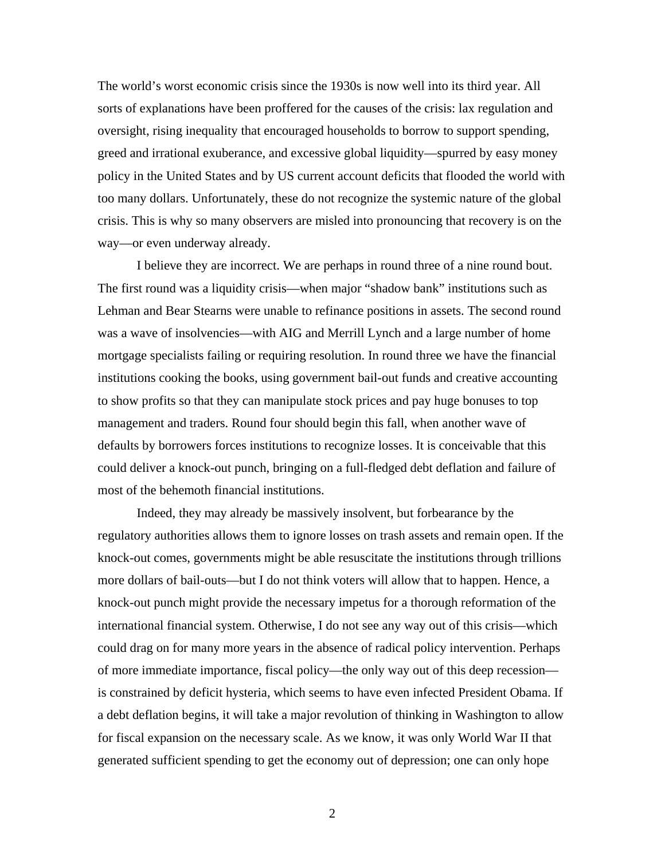The world's worst economic crisis since the 1930s is now well into its third year. All sorts of explanations have been proffered for the causes of the crisis: lax regulation and oversight, rising inequality that encouraged households to borrow to support spending, greed and irrational exuberance, and excessive global liquidity—spurred by easy money policy in the United States and by US current account deficits that flooded the world with too many dollars. Unfortunately, these do not recognize the systemic nature of the global crisis. This is why so many observers are misled into pronouncing that recovery is on the way—or even underway already.

I believe they are incorrect. We are perhaps in round three of a nine round bout. The first round was a liquidity crisis—when major "shadow bank" institutions such as Lehman and Bear Stearns were unable to refinance positions in assets. The second round was a wave of insolvencies—with AIG and Merrill Lynch and a large number of home mortgage specialists failing or requiring resolution. In round three we have the financial institutions cooking the books, using government bail-out funds and creative accounting to show profits so that they can manipulate stock prices and pay huge bonuses to top management and traders. Round four should begin this fall, when another wave of defaults by borrowers forces institutions to recognize losses. It is conceivable that this could deliver a knock-out punch, bringing on a full-fledged debt deflation and failure of most of the behemoth financial institutions.

Indeed, they may already be massively insolvent, but forbearance by the regulatory authorities allows them to ignore losses on trash assets and remain open. If the knock-out comes, governments might be able resuscitate the institutions through trillions more dollars of bail-outs—but I do not think voters will allow that to happen. Hence, a knock-out punch might provide the necessary impetus for a thorough reformation of the international financial system. Otherwise, I do not see any way out of this crisis—which could drag on for many more years in the absence of radical policy intervention. Perhaps of more immediate importance, fiscal policy—the only way out of this deep recession is constrained by deficit hysteria, which seems to have even infected President Obama. If a debt deflation begins, it will take a major revolution of thinking in Washington to allow for fiscal expansion on the necessary scale. As we know, it was only World War II that generated sufficient spending to get the economy out of depression; one can only hope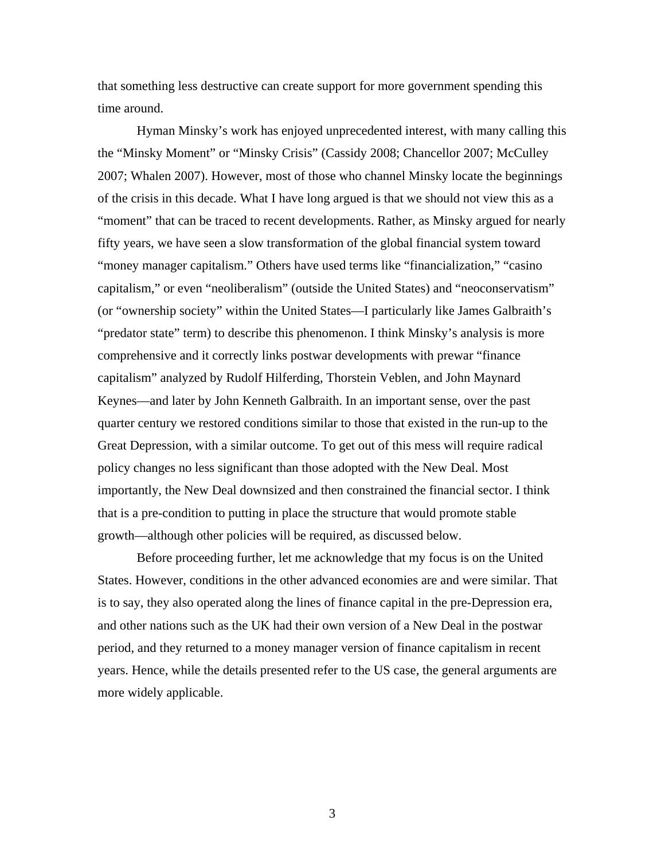that something less destructive can create support for more government spending this time around.

 Hyman Minsky's work has enjoyed unprecedented interest, with many calling this the "Minsky Moment" or "Minsky Crisis" (Cassidy 2008; Chancellor 2007; McCulley 2007; Whalen 2007). However, most of those who channel Minsky locate the beginnings of the crisis in this decade. What I have long argued is that we should not view this as a "moment" that can be traced to recent developments. Rather, as Minsky argued for nearly fifty years, we have seen a slow transformation of the global financial system toward "money manager capitalism." Others have used terms like "financialization," "casino capitalism," or even "neoliberalism" (outside the United States) and "neoconservatism" (or "ownership society" within the United States—I particularly like James Galbraith's "predator state" term) to describe this phenomenon. I think Minsky's analysis is more comprehensive and it correctly links postwar developments with prewar "finance capitalism" analyzed by Rudolf Hilferding, Thorstein Veblen, and John Maynard Keynes—and later by John Kenneth Galbraith. In an important sense, over the past quarter century we restored conditions similar to those that existed in the run-up to the Great Depression, with a similar outcome. To get out of this mess will require radical policy changes no less significant than those adopted with the New Deal. Most importantly, the New Deal downsized and then constrained the financial sector. I think that is a pre-condition to putting in place the structure that would promote stable growth—although other policies will be required, as discussed below.

Before proceeding further, let me acknowledge that my focus is on the United States. However, conditions in the other advanced economies are and were similar. That is to say, they also operated along the lines of finance capital in the pre-Depression era, and other nations such as the UK had their own version of a New Deal in the postwar period, and they returned to a money manager version of finance capitalism in recent years. Hence, while the details presented refer to the US case, the general arguments are more widely applicable.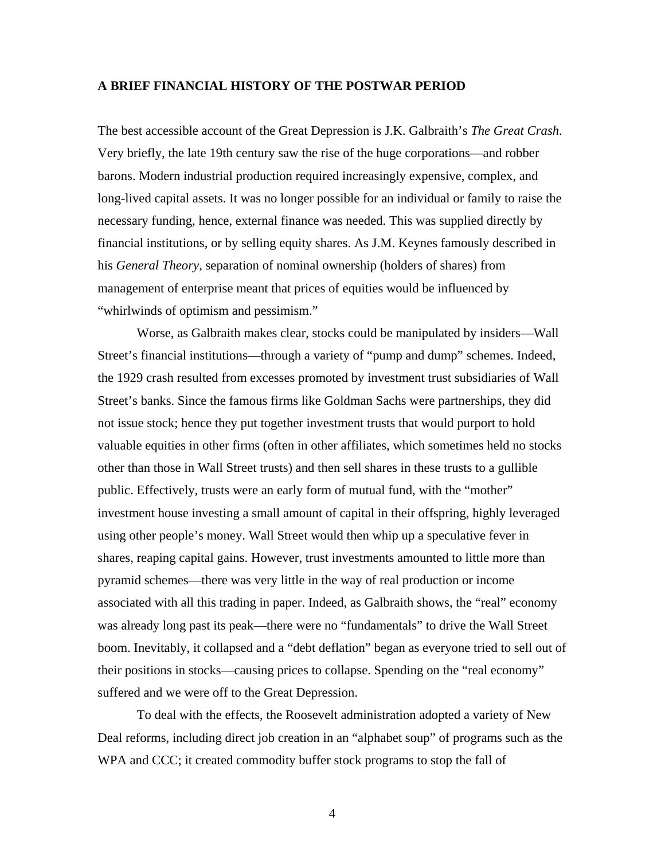#### **A BRIEF FINANCIAL HISTORY OF THE POSTWAR PERIOD**

The best accessible account of the Great Depression is J.K. Galbraith's *The Great Crash*. Very briefly, the late 19th century saw the rise of the huge corporations—and robber barons. Modern industrial production required increasingly expensive, complex, and long-lived capital assets. It was no longer possible for an individual or family to raise the necessary funding, hence, external finance was needed. This was supplied directly by financial institutions, or by selling equity shares. As J.M. Keynes famously described in his *General Theory*, separation of nominal ownership (holders of shares) from management of enterprise meant that prices of equities would be influenced by "whirlwinds of optimism and pessimism."

Worse, as Galbraith makes clear, stocks could be manipulated by insiders—Wall Street's financial institutions—through a variety of "pump and dump" schemes. Indeed, the 1929 crash resulted from excesses promoted by investment trust subsidiaries of Wall Street's banks. Since the famous firms like Goldman Sachs were partnerships, they did not issue stock; hence they put together investment trusts that would purport to hold valuable equities in other firms (often in other affiliates, which sometimes held no stocks other than those in Wall Street trusts) and then sell shares in these trusts to a gullible public. Effectively, trusts were an early form of mutual fund, with the "mother" investment house investing a small amount of capital in their offspring, highly leveraged using other people's money. Wall Street would then whip up a speculative fever in shares, reaping capital gains. However, trust investments amounted to little more than pyramid schemes—there was very little in the way of real production or income associated with all this trading in paper. Indeed, as Galbraith shows, the "real" economy was already long past its peak—there were no "fundamentals" to drive the Wall Street boom. Inevitably, it collapsed and a "debt deflation" began as everyone tried to sell out of their positions in stocks—causing prices to collapse. Spending on the "real economy" suffered and we were off to the Great Depression.

To deal with the effects, the Roosevelt administration adopted a variety of New Deal reforms, including direct job creation in an "alphabet soup" of programs such as the WPA and CCC; it created commodity buffer stock programs to stop the fall of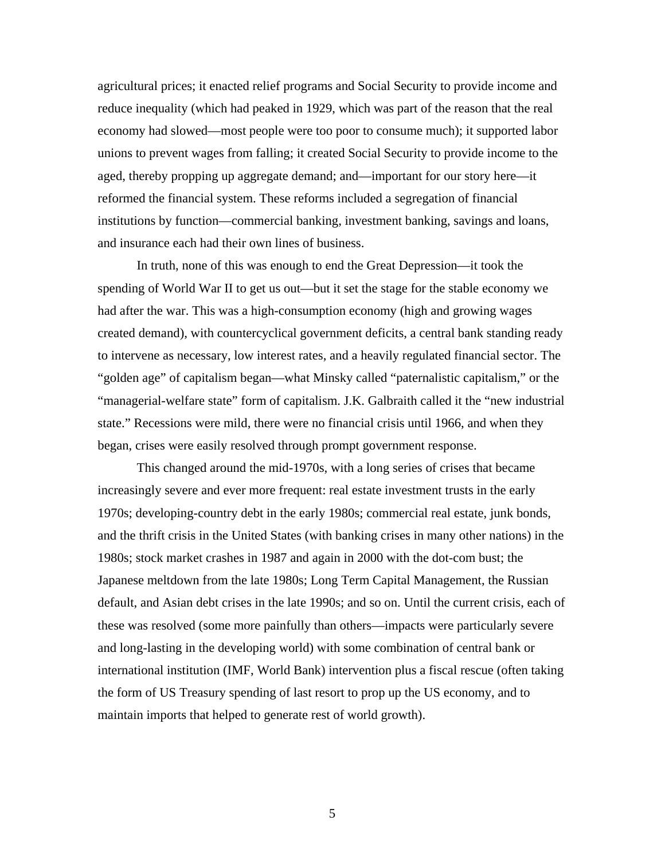agricultural prices; it enacted relief programs and Social Security to provide income and reduce inequality (which had peaked in 1929, which was part of the reason that the real economy had slowed—most people were too poor to consume much); it supported labor unions to prevent wages from falling; it created Social Security to provide income to the aged, thereby propping up aggregate demand; and—important for our story here—it reformed the financial system. These reforms included a segregation of financial institutions by function—commercial banking, investment banking, savings and loans, and insurance each had their own lines of business.

In truth, none of this was enough to end the Great Depression—it took the spending of World War II to get us out—but it set the stage for the stable economy we had after the war. This was a high-consumption economy (high and growing wages created demand), with countercyclical government deficits, a central bank standing ready to intervene as necessary, low interest rates, and a heavily regulated financial sector. The "golden age" of capitalism began—what Minsky called "paternalistic capitalism," or the "managerial-welfare state" form of capitalism. J.K. Galbraith called it the "new industrial state." Recessions were mild, there were no financial crisis until 1966, and when they began, crises were easily resolved through prompt government response.

This changed around the mid-1970s, with a long series of crises that became increasingly severe and ever more frequent: real estate investment trusts in the early 1970s; developing-country debt in the early 1980s; commercial real estate, junk bonds, and the thrift crisis in the United States (with banking crises in many other nations) in the 1980s; stock market crashes in 1987 and again in 2000 with the dot-com bust; the Japanese meltdown from the late 1980s; Long Term Capital Management, the Russian default, and Asian debt crises in the late 1990s; and so on. Until the current crisis, each of these was resolved (some more painfully than others—impacts were particularly severe and long-lasting in the developing world) with some combination of central bank or international institution (IMF, World Bank) intervention plus a fiscal rescue (often taking the form of US Treasury spending of last resort to prop up the US economy, and to maintain imports that helped to generate rest of world growth).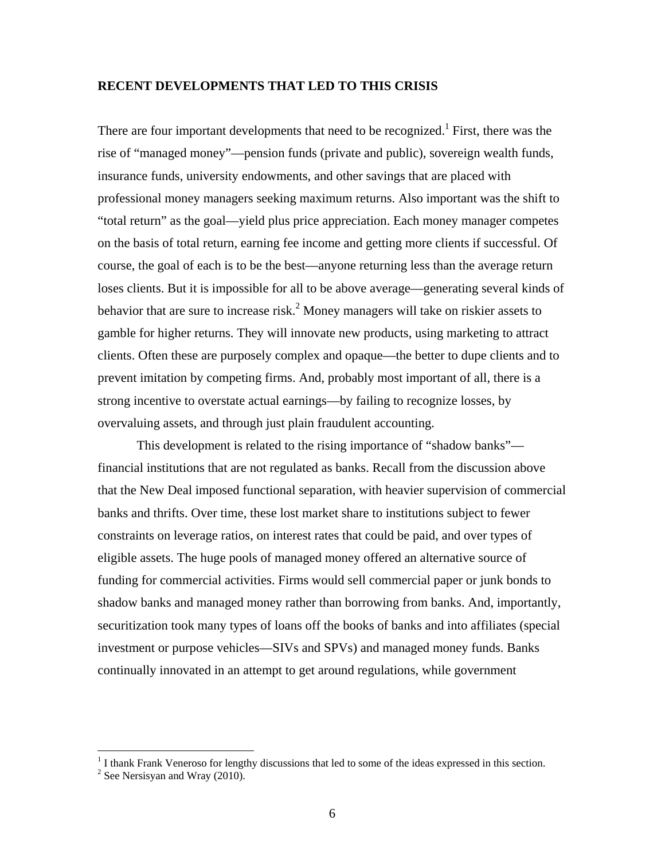### **RECENT DEVELOPMENTS THAT LED TO THIS CRISIS**

There are four important developments that need to be recognized.<sup>1</sup> First, there was the rise of "managed money"—pension funds (private and public), sovereign wealth funds, insurance funds, university endowments, and other savings that are placed with professional money managers seeking maximum returns. Also important was the shift to "total return" as the goal—yield plus price appreciation. Each money manager competes on the basis of total return, earning fee income and getting more clients if successful. Of course, the goal of each is to be the best—anyone returning less than the average return loses clients. But it is impossible for all to be above average—generating several kinds of behavior that are sure to increase risk.<sup>2</sup> Money managers will take on riskier assets to gamble for higher returns. They will innovate new products, using marketing to attract clients. Often these are purposely complex and opaque—the better to dupe clients and to prevent imitation by competing firms. And, probably most important of all, there is a strong incentive to overstate actual earnings—by failing to recognize losses, by overvaluing assets, and through just plain fraudulent accounting.

This development is related to the rising importance of "shadow banks" financial institutions that are not regulated as banks. Recall from the discussion above that the New Deal imposed functional separation, with heavier supervision of commercial banks and thrifts. Over time, these lost market share to institutions subject to fewer constraints on leverage ratios, on interest rates that could be paid, and over types of eligible assets. The huge pools of managed money offered an alternative source of funding for commercial activities. Firms would sell commercial paper or junk bonds to shadow banks and managed money rather than borrowing from banks. And, importantly, securitization took many types of loans off the books of banks and into affiliates (special investment or purpose vehicles—SIVs and SPVs) and managed money funds. Banks continually innovated in an attempt to get around regulations, while government

<sup>&</sup>lt;sup>1</sup> I thank Frank Veneroso for lengthy discussions that led to some of the ideas expressed in this section.

 $2$  See Nersisyan and Wray (2010).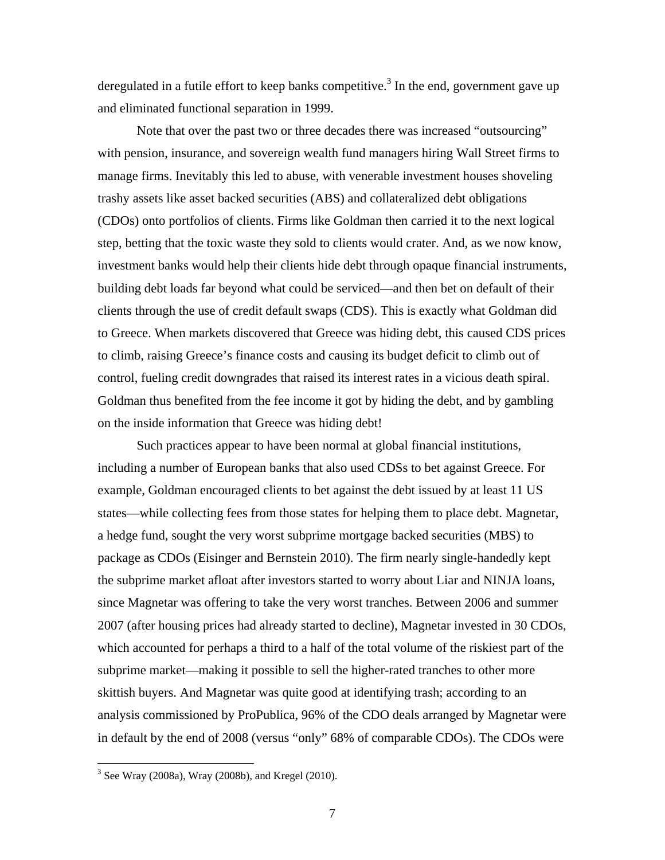deregulated in a futile effort to keep banks competitive.<sup>3</sup> In the end, government gave up and eliminated functional separation in 1999.

Note that over the past two or three decades there was increased "outsourcing" with pension, insurance, and sovereign wealth fund managers hiring Wall Street firms to manage firms. Inevitably this led to abuse, with venerable investment houses shoveling trashy assets like asset backed securities (ABS) and collateralized debt obligations (CDOs) onto portfolios of clients. Firms like Goldman then carried it to the next logical step, betting that the toxic waste they sold to clients would crater. And, as we now know, investment banks would help their clients hide debt through opaque financial instruments, building debt loads far beyond what could be serviced—and then bet on default of their clients through the use of credit default swaps (CDS). This is exactly what Goldman did to Greece. When markets discovered that Greece was hiding debt, this caused CDS prices to climb, raising Greece's finance costs and causing its budget deficit to climb out of control, fueling credit downgrades that raised its interest rates in a vicious death spiral. Goldman thus benefited from the fee income it got by hiding the debt, and by gambling on the inside information that Greece was hiding debt!

Such practices appear to have been normal at global financial institutions, including a number of European banks that also used CDSs to bet against Greece. For example, Goldman encouraged clients to bet against the debt issued by at least 11 US states—while collecting fees from those states for helping them to place debt. Magnetar, a hedge fund, sought the very worst subprime mortgage backed securities (MBS) to package as CDOs (Eisinger and Bernstein 2010). The firm nearly single-handedly kept the subprime market afloat after investors started to worry about Liar and NINJA loans, since Magnetar was offering to take the very worst tranches. Between 2006 and summer 2007 (after housing prices had already started to decline), Magnetar invested in 30 CDOs, which accounted for perhaps a third to a half of the total volume of the riskiest part of the subprime market—making it possible to sell the higher-rated tranches to other more skittish buyers. And Magnetar was quite good at identifying trash; according to an analysis commissioned by ProPublica, 96% of the CDO deals arranged by Magnetar were in default by the end of 2008 (versus "only" 68% of comparable CDOs). The CDOs were

 $\overline{a}$ 

<sup>&</sup>lt;sup>3</sup> See Wray (2008a), Wray (2008b), and Kregel (2010).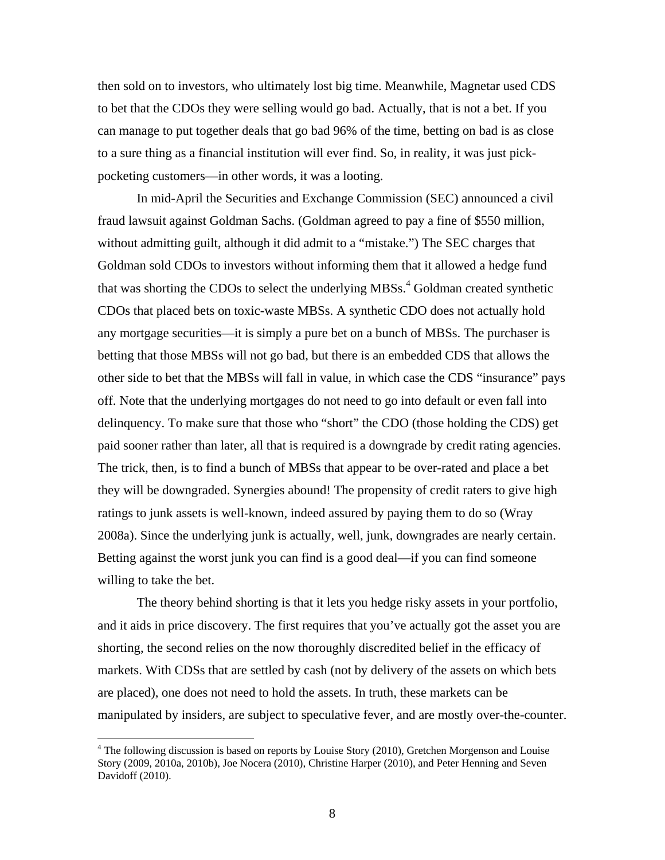then sold on to investors, who ultimately lost big time. Meanwhile, Magnetar used CDS to bet that the CDOs they were selling would go bad. Actually, that is not a bet. If you can manage to put together deals that go bad 96% of the time, betting on bad is as close to a sure thing as a financial institution will ever find. So, in reality, it was just pickpocketing customers—in other words, it was a looting.

In mid-April the Securities and Exchange Commission (SEC) announced a civil fraud lawsuit against Goldman Sachs. (Goldman agreed to pay a fine of \$550 million, without admitting guilt, although it did admit to a "mistake.") The SEC charges that Goldman sold CDOs to investors without informing them that it allowed a hedge fund that was shorting the CDOs to select the underlying MBSs.<sup>4</sup> Goldman created synthetic CDOs that placed bets on toxic-waste MBSs. A synthetic CDO does not actually hold any mortgage securities—it is simply a pure bet on a bunch of MBSs. The purchaser is betting that those MBSs will not go bad, but there is an embedded CDS that allows the other side to bet that the MBSs will fall in value, in which case the CDS "insurance" pays off. Note that the underlying mortgages do not need to go into default or even fall into delinquency. To make sure that those who "short" the CDO (those holding the CDS) get paid sooner rather than later, all that is required is a downgrade by credit rating agencies. The trick, then, is to find a bunch of MBSs that appear to be over-rated and place a bet they will be downgraded. Synergies abound! The propensity of credit raters to give high ratings to junk assets is well-known, indeed assured by paying them to do so (Wray 2008a). Since the underlying junk is actually, well, junk, downgrades are nearly certain. Betting against the worst junk you can find is a good deal—if you can find someone willing to take the bet.

The theory behind shorting is that it lets you hedge risky assets in your portfolio, and it aids in price discovery. The first requires that you've actually got the asset you are shorting, the second relies on the now thoroughly discredited belief in the efficacy of markets. With CDSs that are settled by cash (not by delivery of the assets on which bets are placed), one does not need to hold the assets. In truth, these markets can be manipulated by insiders, are subject to speculative fever, and are mostly over-the-counter.

 $\overline{a}$ 

<sup>&</sup>lt;sup>4</sup> The following discussion is based on reports by Louise Story (2010), Gretchen Morgenson and Louise Story (2009, 2010a, 2010b), Joe Nocera (2010), Christine Harper (2010), and Peter Henning and Seven Davidoff (2010).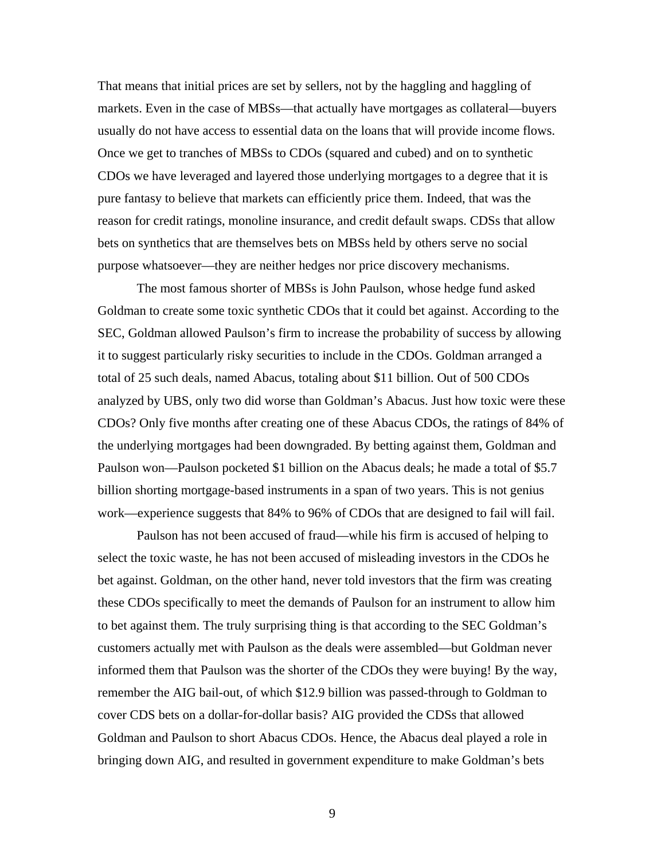That means that initial prices are set by sellers, not by the haggling and haggling of markets. Even in the case of MBSs—that actually have mortgages as collateral—buyers usually do not have access to essential data on the loans that will provide income flows. Once we get to tranches of MBSs to CDOs (squared and cubed) and on to synthetic CDOs we have leveraged and layered those underlying mortgages to a degree that it is pure fantasy to believe that markets can efficiently price them. Indeed, that was the reason for credit ratings, monoline insurance, and credit default swaps. CDSs that allow bets on synthetics that are themselves bets on MBSs held by others serve no social purpose whatsoever—they are neither hedges nor price discovery mechanisms.

The most famous shorter of MBSs is John Paulson, whose hedge fund asked Goldman to create some toxic synthetic CDOs that it could bet against. According to the SEC, Goldman allowed Paulson's firm to increase the probability of success by allowing it to suggest particularly risky securities to include in the CDOs. Goldman arranged a total of 25 such deals, named Abacus, totaling about \$11 billion. Out of 500 CDOs analyzed by UBS, only two did worse than Goldman's Abacus. Just how toxic were these CDOs? Only five months after creating one of these Abacus CDOs, the ratings of 84% of the underlying mortgages had been downgraded. By betting against them, Goldman and Paulson won—Paulson pocketed \$1 billion on the Abacus deals; he made a total of \$5.7 billion shorting mortgage-based instruments in a span of two years. This is not genius work—experience suggests that 84% to 96% of CDOs that are designed to fail will fail.

Paulson has not been accused of fraud—while his firm is accused of helping to select the toxic waste, he has not been accused of misleading investors in the CDOs he bet against. Goldman, on the other hand, never told investors that the firm was creating these CDOs specifically to meet the demands of Paulson for an instrument to allow him to bet against them. The truly surprising thing is that according to the SEC Goldman's customers actually met with Paulson as the deals were assembled—but Goldman never informed them that Paulson was the shorter of the CDOs they were buying! By the way, remember the AIG bail-out, of which \$12.9 billion was passed-through to Goldman to cover CDS bets on a dollar-for-dollar basis? AIG provided the CDSs that allowed Goldman and Paulson to short Abacus CDOs. Hence, the Abacus deal played a role in bringing down AIG, and resulted in government expenditure to make Goldman's bets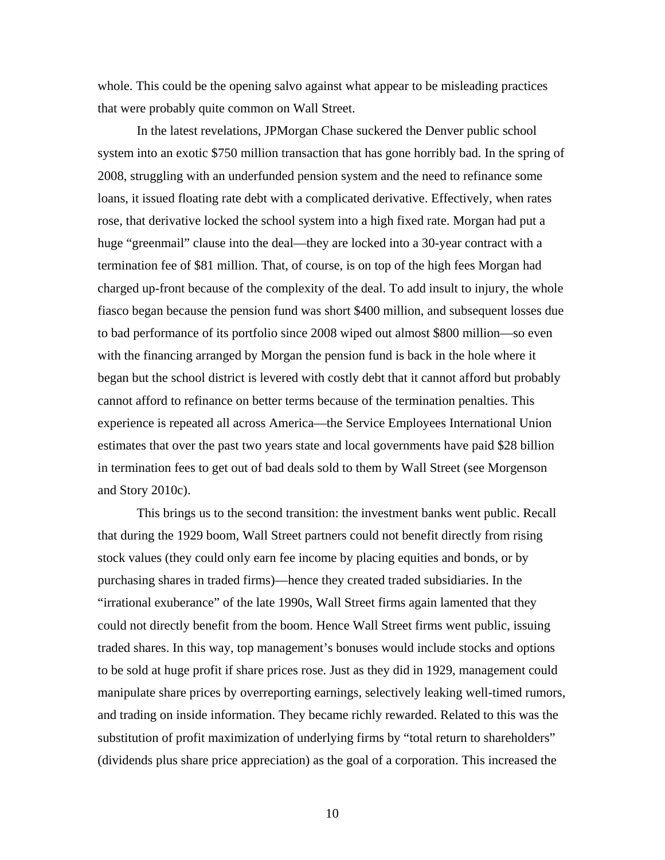whole. This could be the opening salvo against what appear to be misleading practices that were probably quite common on Wall Street.

In the latest revelations, JPMorgan Chase suckered the Denver public school system into an exotic \$750 million transaction that has gone horribly bad. In the spring of 2008, struggling with an underfunded pension system and the need to refinance some loans, it issued floating rate debt with a complicated derivative. Effectively, when rates rose, that derivative locked the school system into a high fixed rate. Morgan had put a huge "greenmail" clause into the deal—they are locked into a 30-year contract with a termination fee of \$81 million. That, of course, is on top of the high fees Morgan had charged up-front because of the complexity of the deal. To add insult to injury, the whole fiasco began because the pension fund was short \$400 million, and subsequent losses due to bad performance of its portfolio since 2008 wiped out almost \$800 million—so even with the financing arranged by Morgan the pension fund is back in the hole where it began but the school district is levered with costly debt that it cannot afford but probably cannot afford to refinance on better terms because of the termination penalties. This experience is repeated all across America—the Service Employees International Union estimates that over the past two years state and local governments have paid \$28 billion in termination fees to get out of bad deals sold to them by Wall Street (see Morgenson and Story 2010c).

This brings us to the second transition: the investment banks went public. Recall that during the 1929 boom, Wall Street partners could not benefit directly from rising stock values (they could only earn fee income by placing equities and bonds, or by purchasing shares in traded firms)—hence they created traded subsidiaries. In the "irrational exuberance" of the late 1990s, Wall Street firms again lamented that they could not directly benefit from the boom. Hence Wall Street firms went public, issuing traded shares. In this way, top management's bonuses would include stocks and options to be sold at huge profit if share prices rose. Just as they did in 1929, management could manipulate share prices by overreporting earnings, selectively leaking well-timed rumors, and trading on inside information. They became richly rewarded. Related to this was the substitution of profit maximization of underlying firms by "total return to shareholders" (dividends plus share price appreciation) as the goal of a corporation. This increased the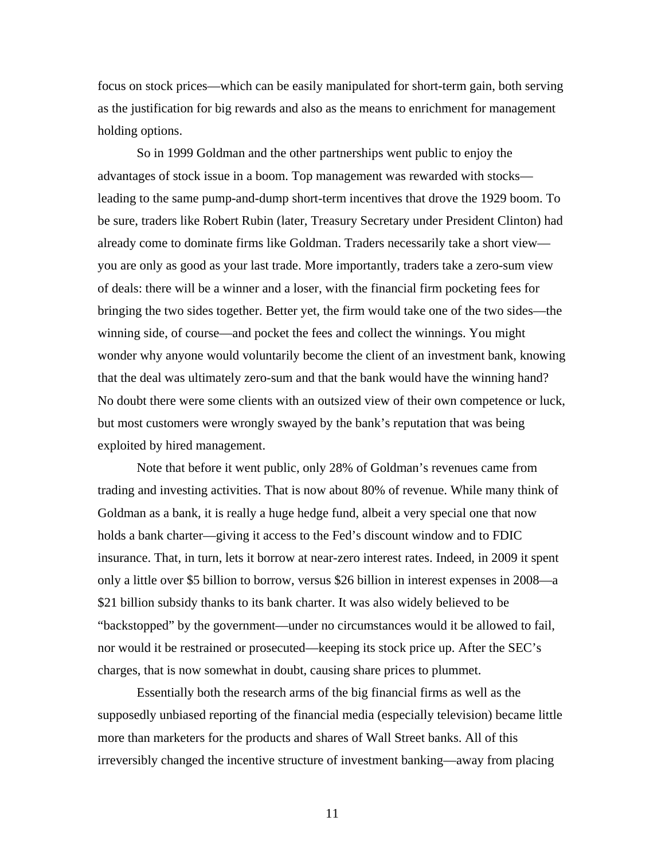focus on stock prices—which can be easily manipulated for short-term gain, both serving as the justification for big rewards and also as the means to enrichment for management holding options.

So in 1999 Goldman and the other partnerships went public to enjoy the advantages of stock issue in a boom. Top management was rewarded with stocks leading to the same pump-and-dump short-term incentives that drove the 1929 boom. To be sure, traders like Robert Rubin (later, Treasury Secretary under President Clinton) had already come to dominate firms like Goldman. Traders necessarily take a short view you are only as good as your last trade. More importantly, traders take a zero-sum view of deals: there will be a winner and a loser, with the financial firm pocketing fees for bringing the two sides together. Better yet, the firm would take one of the two sides—the winning side, of course—and pocket the fees and collect the winnings. You might wonder why anyone would voluntarily become the client of an investment bank, knowing that the deal was ultimately zero-sum and that the bank would have the winning hand? No doubt there were some clients with an outsized view of their own competence or luck, but most customers were wrongly swayed by the bank's reputation that was being exploited by hired management.

Note that before it went public, only 28% of Goldman's revenues came from trading and investing activities. That is now about 80% of revenue. While many think of Goldman as a bank, it is really a huge hedge fund, albeit a very special one that now holds a bank charter—giving it access to the Fed's discount window and to FDIC insurance. That, in turn, lets it borrow at near-zero interest rates. Indeed, in 2009 it spent only a little over \$5 billion to borrow, versus \$26 billion in interest expenses in 2008—a \$21 billion subsidy thanks to its bank charter. It was also widely believed to be "backstopped" by the government—under no circumstances would it be allowed to fail, nor would it be restrained or prosecuted—keeping its stock price up. After the SEC's charges, that is now somewhat in doubt, causing share prices to plummet.

Essentially both the research arms of the big financial firms as well as the supposedly unbiased reporting of the financial media (especially television) became little more than marketers for the products and shares of Wall Street banks. All of this irreversibly changed the incentive structure of investment banking—away from placing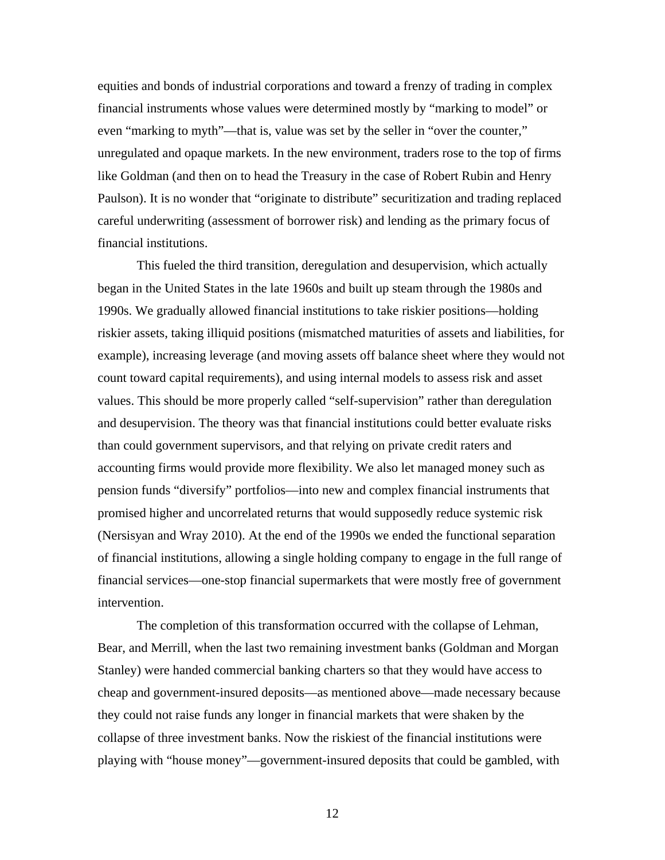equities and bonds of industrial corporations and toward a frenzy of trading in complex financial instruments whose values were determined mostly by "marking to model" or even "marking to myth"—that is, value was set by the seller in "over the counter," unregulated and opaque markets. In the new environment, traders rose to the top of firms like Goldman (and then on to head the Treasury in the case of Robert Rubin and Henry Paulson). It is no wonder that "originate to distribute" securitization and trading replaced careful underwriting (assessment of borrower risk) and lending as the primary focus of financial institutions.

This fueled the third transition, deregulation and desupervision, which actually began in the United States in the late 1960s and built up steam through the 1980s and 1990s. We gradually allowed financial institutions to take riskier positions—holding riskier assets, taking illiquid positions (mismatched maturities of assets and liabilities, for example), increasing leverage (and moving assets off balance sheet where they would not count toward capital requirements), and using internal models to assess risk and asset values. This should be more properly called "self-supervision" rather than deregulation and desupervision. The theory was that financial institutions could better evaluate risks than could government supervisors, and that relying on private credit raters and accounting firms would provide more flexibility. We also let managed money such as pension funds "diversify" portfolios—into new and complex financial instruments that promised higher and uncorrelated returns that would supposedly reduce systemic risk (Nersisyan and Wray 2010). At the end of the 1990s we ended the functional separation of financial institutions, allowing a single holding company to engage in the full range of financial services—one-stop financial supermarkets that were mostly free of government intervention.

The completion of this transformation occurred with the collapse of Lehman, Bear, and Merrill, when the last two remaining investment banks (Goldman and Morgan Stanley) were handed commercial banking charters so that they would have access to cheap and government-insured deposits—as mentioned above—made necessary because they could not raise funds any longer in financial markets that were shaken by the collapse of three investment banks. Now the riskiest of the financial institutions were playing with "house money"—government-insured deposits that could be gambled, with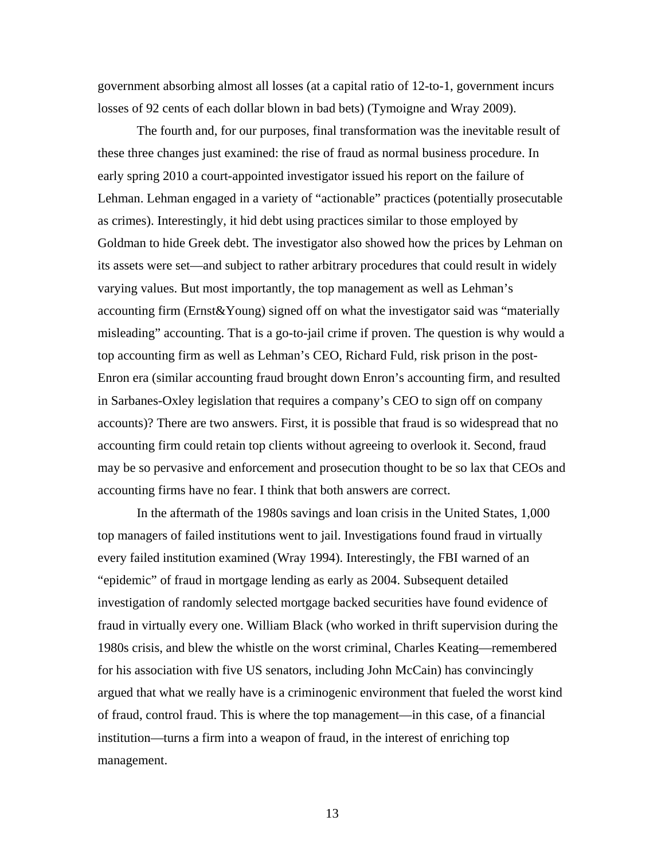government absorbing almost all losses (at a capital ratio of 12-to-1, government incurs losses of 92 cents of each dollar blown in bad bets) (Tymoigne and Wray 2009).

The fourth and, for our purposes, final transformation was the inevitable result of these three changes just examined: the rise of fraud as normal business procedure. In early spring 2010 a court-appointed investigator issued his report on the failure of Lehman. Lehman engaged in a variety of "actionable" practices (potentially prosecutable as crimes). Interestingly, it hid debt using practices similar to those employed by Goldman to hide Greek debt. The investigator also showed how the prices by Lehman on its assets were set—and subject to rather arbitrary procedures that could result in widely varying values. But most importantly, the top management as well as Lehman's accounting firm (Ernst&Young) signed off on what the investigator said was "materially misleading" accounting. That is a go-to-jail crime if proven. The question is why would a top accounting firm as well as Lehman's CEO, Richard Fuld, risk prison in the post-Enron era (similar accounting fraud brought down Enron's accounting firm, and resulted in Sarbanes-Oxley legislation that requires a company's CEO to sign off on company accounts)? There are two answers. First, it is possible that fraud is so widespread that no accounting firm could retain top clients without agreeing to overlook it. Second, fraud may be so pervasive and enforcement and prosecution thought to be so lax that CEOs and accounting firms have no fear. I think that both answers are correct.

In the aftermath of the 1980s savings and loan crisis in the United States, 1,000 top managers of failed institutions went to jail. Investigations found fraud in virtually every failed institution examined (Wray 1994). Interestingly, the FBI warned of an "epidemic" of fraud in mortgage lending as early as 2004. Subsequent detailed investigation of randomly selected mortgage backed securities have found evidence of fraud in virtually every one. William Black (who worked in thrift supervision during the 1980s crisis, and blew the whistle on the worst criminal, Charles Keating—remembered for his association with five US senators, including John McCain) has convincingly argued that what we really have is a criminogenic environment that fueled the worst kind of fraud, control fraud. This is where the top management—in this case, of a financial institution—turns a firm into a weapon of fraud, in the interest of enriching top management.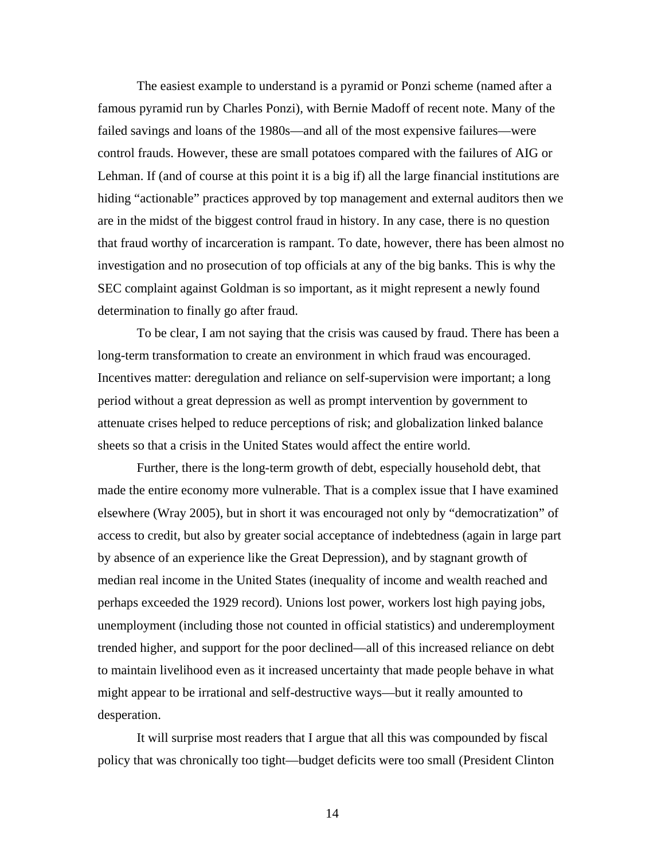The easiest example to understand is a pyramid or Ponzi scheme (named after a famous pyramid run by Charles Ponzi), with Bernie Madoff of recent note. Many of the failed savings and loans of the 1980s—and all of the most expensive failures—were control frauds. However, these are small potatoes compared with the failures of AIG or Lehman. If (and of course at this point it is a big if) all the large financial institutions are hiding "actionable" practices approved by top management and external auditors then we are in the midst of the biggest control fraud in history. In any case, there is no question that fraud worthy of incarceration is rampant. To date, however, there has been almost no investigation and no prosecution of top officials at any of the big banks. This is why the SEC complaint against Goldman is so important, as it might represent a newly found determination to finally go after fraud.

To be clear, I am not saying that the crisis was caused by fraud. There has been a long-term transformation to create an environment in which fraud was encouraged. Incentives matter: deregulation and reliance on self-supervision were important; a long period without a great depression as well as prompt intervention by government to attenuate crises helped to reduce perceptions of risk; and globalization linked balance sheets so that a crisis in the United States would affect the entire world.

Further, there is the long-term growth of debt, especially household debt, that made the entire economy more vulnerable. That is a complex issue that I have examined elsewhere (Wray 2005), but in short it was encouraged not only by "democratization" of access to credit, but also by greater social acceptance of indebtedness (again in large part by absence of an experience like the Great Depression), and by stagnant growth of median real income in the United States (inequality of income and wealth reached and perhaps exceeded the 1929 record). Unions lost power, workers lost high paying jobs, unemployment (including those not counted in official statistics) and underemployment trended higher, and support for the poor declined—all of this increased reliance on debt to maintain livelihood even as it increased uncertainty that made people behave in what might appear to be irrational and self-destructive ways—but it really amounted to desperation.

It will surprise most readers that I argue that all this was compounded by fiscal policy that was chronically too tight—budget deficits were too small (President Clinton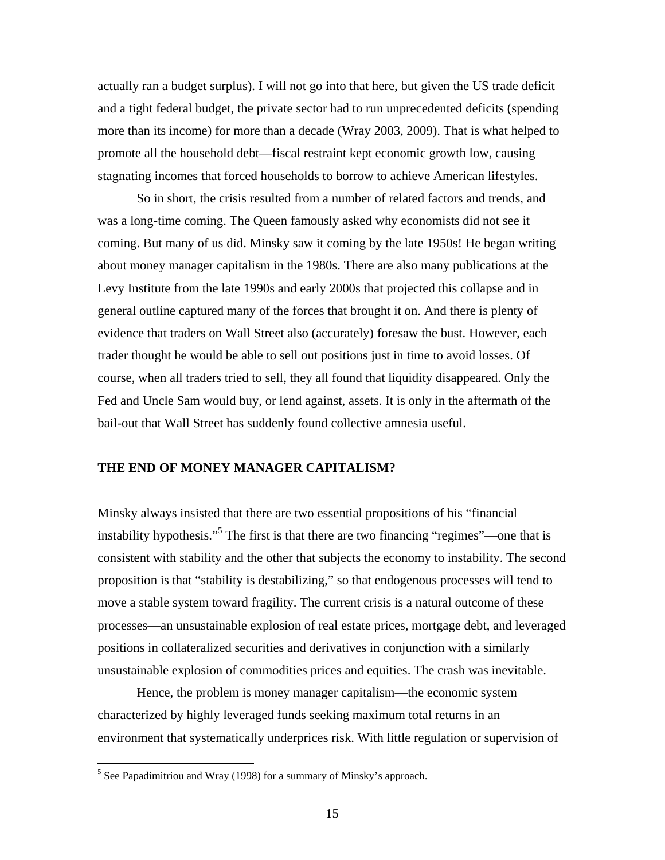actually ran a budget surplus). I will not go into that here, but given the US trade deficit and a tight federal budget, the private sector had to run unprecedented deficits (spending more than its income) for more than a decade (Wray 2003, 2009). That is what helped to promote all the household debt—fiscal restraint kept economic growth low, causing stagnating incomes that forced households to borrow to achieve American lifestyles.

So in short, the crisis resulted from a number of related factors and trends, and was a long-time coming. The Queen famously asked why economists did not see it coming. But many of us did. Minsky saw it coming by the late 1950s! He began writing about money manager capitalism in the 1980s. There are also many publications at the Levy Institute from the late 1990s and early 2000s that projected this collapse and in general outline captured many of the forces that brought it on. And there is plenty of evidence that traders on Wall Street also (accurately) foresaw the bust. However, each trader thought he would be able to sell out positions just in time to avoid losses. Of course, when all traders tried to sell, they all found that liquidity disappeared. Only the Fed and Uncle Sam would buy, or lend against, assets. It is only in the aftermath of the bail-out that Wall Street has suddenly found collective amnesia useful.

#### **THE END OF MONEY MANAGER CAPITALISM?**

Minsky always insisted that there are two essential propositions of his "financial instability hypothesis."<sup>5</sup> The first is that there are two financing "regimes"—one that is consistent with stability and the other that subjects the economy to instability. The second proposition is that "stability is destabilizing," so that endogenous processes will tend to move a stable system toward fragility. The current crisis is a natural outcome of these processes—an unsustainable explosion of real estate prices, mortgage debt, and leveraged positions in collateralized securities and derivatives in conjunction with a similarly unsustainable explosion of commodities prices and equities. The crash was inevitable.

Hence, the problem is money manager capitalism—the economic system characterized by highly leveraged funds seeking maximum total returns in an environment that systematically underprices risk. With little regulation or supervision of

 $\overline{a}$ 

 $<sup>5</sup>$  See Papadimitriou and Wray (1998) for a summary of Minsky's approach.</sup>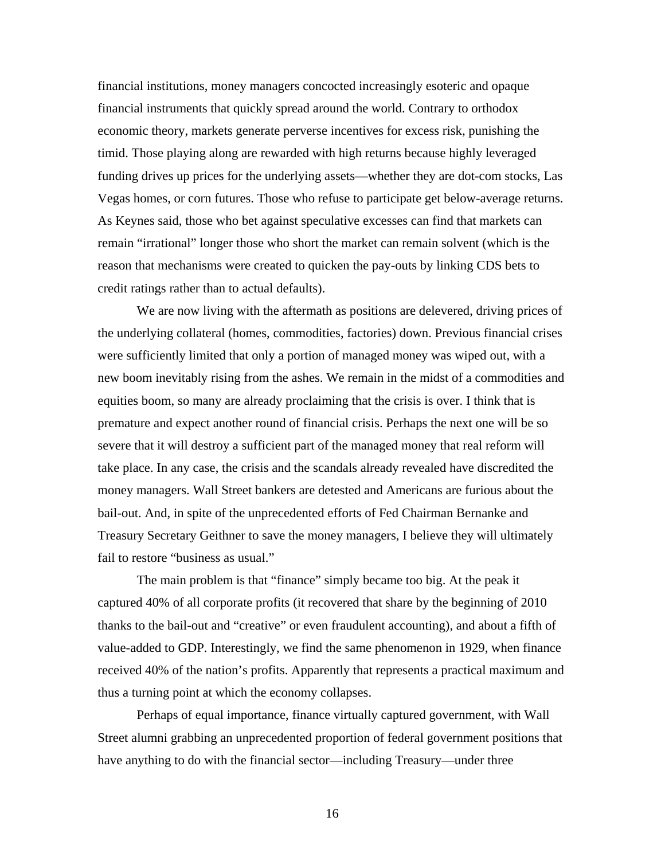financial institutions, money managers concocted increasingly esoteric and opaque financial instruments that quickly spread around the world. Contrary to orthodox economic theory, markets generate perverse incentives for excess risk, punishing the timid. Those playing along are rewarded with high returns because highly leveraged funding drives up prices for the underlying assets—whether they are dot-com stocks, Las Vegas homes, or corn futures. Those who refuse to participate get below-average returns. As Keynes said, those who bet against speculative excesses can find that markets can remain "irrational" longer those who short the market can remain solvent (which is the reason that mechanisms were created to quicken the pay-outs by linking CDS bets to credit ratings rather than to actual defaults).

We are now living with the aftermath as positions are delevered, driving prices of the underlying collateral (homes, commodities, factories) down. Previous financial crises were sufficiently limited that only a portion of managed money was wiped out, with a new boom inevitably rising from the ashes. We remain in the midst of a commodities and equities boom, so many are already proclaiming that the crisis is over. I think that is premature and expect another round of financial crisis. Perhaps the next one will be so severe that it will destroy a sufficient part of the managed money that real reform will take place. In any case, the crisis and the scandals already revealed have discredited the money managers. Wall Street bankers are detested and Americans are furious about the bail-out. And, in spite of the unprecedented efforts of Fed Chairman Bernanke and Treasury Secretary Geithner to save the money managers, I believe they will ultimately fail to restore "business as usual."

The main problem is that "finance" simply became too big. At the peak it captured 40% of all corporate profits (it recovered that share by the beginning of 2010 thanks to the bail-out and "creative" or even fraudulent accounting), and about a fifth of value-added to GDP. Interestingly, we find the same phenomenon in 1929, when finance received 40% of the nation's profits. Apparently that represents a practical maximum and thus a turning point at which the economy collapses.

Perhaps of equal importance, finance virtually captured government, with Wall Street alumni grabbing an unprecedented proportion of federal government positions that have anything to do with the financial sector—including Treasury—under three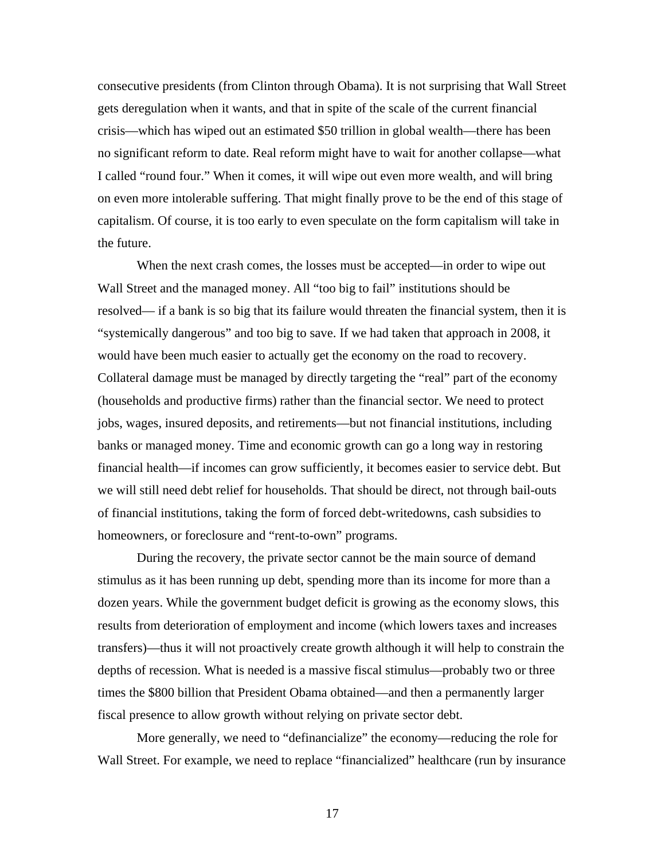consecutive presidents (from Clinton through Obama). It is not surprising that Wall Street gets deregulation when it wants, and that in spite of the scale of the current financial crisis—which has wiped out an estimated \$50 trillion in global wealth—there has been no significant reform to date. Real reform might have to wait for another collapse—what I called "round four." When it comes, it will wipe out even more wealth, and will bring on even more intolerable suffering. That might finally prove to be the end of this stage of capitalism. Of course, it is too early to even speculate on the form capitalism will take in the future.

When the next crash comes, the losses must be accepted—in order to wipe out Wall Street and the managed money. All "too big to fail" institutions should be resolved— if a bank is so big that its failure would threaten the financial system, then it is "systemically dangerous" and too big to save. If we had taken that approach in 2008, it would have been much easier to actually get the economy on the road to recovery. Collateral damage must be managed by directly targeting the "real" part of the economy (households and productive firms) rather than the financial sector. We need to protect jobs, wages, insured deposits, and retirements—but not financial institutions, including banks or managed money. Time and economic growth can go a long way in restoring financial health—if incomes can grow sufficiently, it becomes easier to service debt. But we will still need debt relief for households. That should be direct, not through bail-outs of financial institutions, taking the form of forced debt-writedowns, cash subsidies to homeowners, or foreclosure and "rent-to-own" programs.

During the recovery, the private sector cannot be the main source of demand stimulus as it has been running up debt, spending more than its income for more than a dozen years. While the government budget deficit is growing as the economy slows, this results from deterioration of employment and income (which lowers taxes and increases transfers)—thus it will not proactively create growth although it will help to constrain the depths of recession. What is needed is a massive fiscal stimulus—probably two or three times the \$800 billion that President Obama obtained—and then a permanently larger fiscal presence to allow growth without relying on private sector debt.

More generally, we need to "definancialize" the economy—reducing the role for Wall Street. For example, we need to replace "financialized" healthcare (run by insurance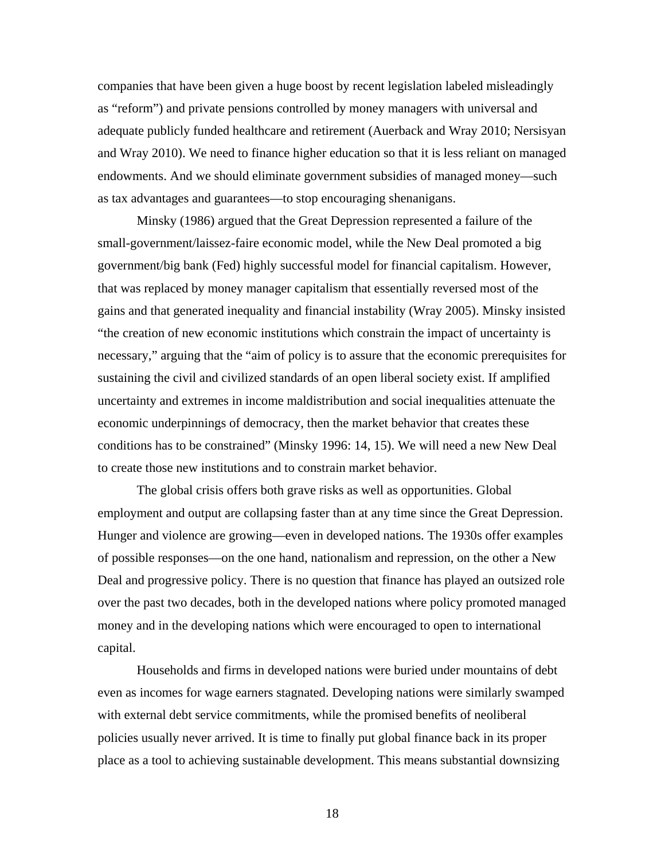companies that have been given a huge boost by recent legislation labeled misleadingly as "reform") and private pensions controlled by money managers with universal and adequate publicly funded healthcare and retirement (Auerback and Wray 2010; Nersisyan and Wray 2010). We need to finance higher education so that it is less reliant on managed endowments. And we should eliminate government subsidies of managed money—such as tax advantages and guarantees—to stop encouraging shenanigans.

Minsky (1986) argued that the Great Depression represented a failure of the small-government/laissez-faire economic model, while the New Deal promoted a big government/big bank (Fed) highly successful model for financial capitalism. However, that was replaced by money manager capitalism that essentially reversed most of the gains and that generated inequality and financial instability (Wray 2005). Minsky insisted "the creation of new economic institutions which constrain the impact of uncertainty is necessary," arguing that the "aim of policy is to assure that the economic prerequisites for sustaining the civil and civilized standards of an open liberal society exist. If amplified uncertainty and extremes in income maldistribution and social inequalities attenuate the economic underpinnings of democracy, then the market behavior that creates these conditions has to be constrained" (Minsky 1996: 14, 15). We will need a new New Deal to create those new institutions and to constrain market behavior.

The global crisis offers both grave risks as well as opportunities. Global employment and output are collapsing faster than at any time since the Great Depression. Hunger and violence are growing—even in developed nations. The 1930s offer examples of possible responses—on the one hand, nationalism and repression, on the other a New Deal and progressive policy. There is no question that finance has played an outsized role over the past two decades, both in the developed nations where policy promoted managed money and in the developing nations which were encouraged to open to international capital.

Households and firms in developed nations were buried under mountains of debt even as incomes for wage earners stagnated. Developing nations were similarly swamped with external debt service commitments, while the promised benefits of neoliberal policies usually never arrived. It is time to finally put global finance back in its proper place as a tool to achieving sustainable development. This means substantial downsizing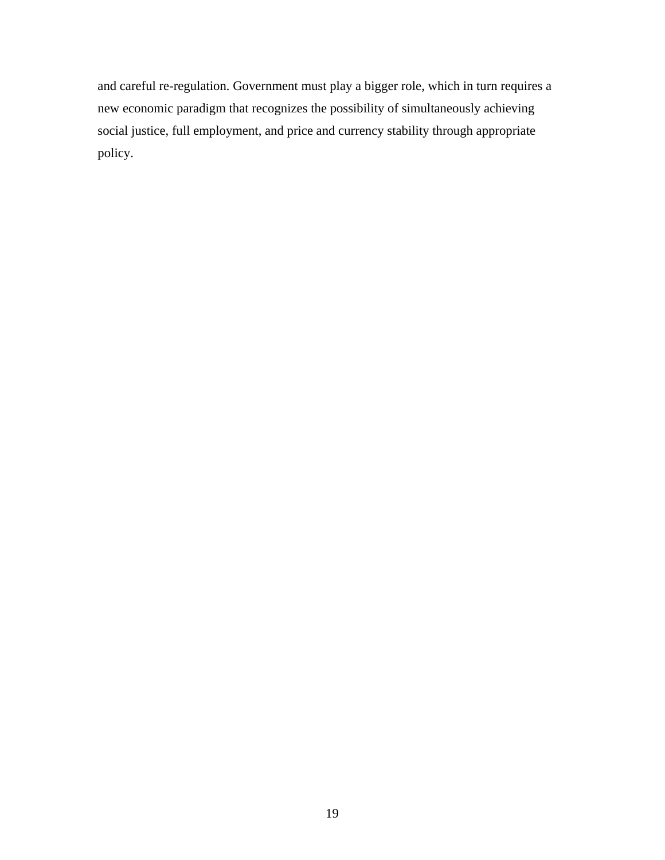and careful re-regulation. Government must play a bigger role, which in turn requires a new economic paradigm that recognizes the possibility of simultaneously achieving social justice, full employment, and price and currency stability through appropriate policy.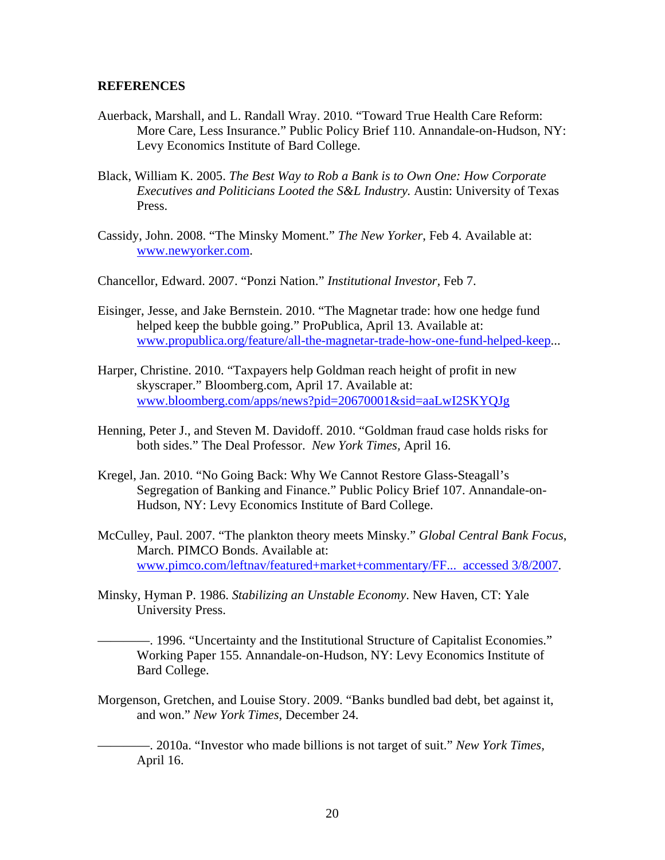#### **REFERENCES**

- Auerback, Marshall, and L. Randall Wray. 2010. "Toward True Health Care Reform: More Care, Less Insurance." Public Policy Brief 110. Annandale-on-Hudson, NY: Levy Economics Institute of Bard College.
- Black, William K. 2005. *The Best Way to Rob a Bank is to Own One: How Corporate Executives and Politicians Looted the S&L Industry.* Austin: University of Texas Press.
- Cassidy, John. 2008. "The Minsky Moment." *The New Yorker*, Feb 4. Available at: www.newyorker.com.

Chancellor, Edward. 2007. "Ponzi Nation." *Institutional Investor,* Feb 7.

- Eisinger, Jesse, and Jake Bernstein. 2010. "The Magnetar trade: how one hedge fund helped keep the bubble going." ProPublica, April 13. Available at: www.propublica.org/feature/all-the-magnetar-trade-how-one-fund-helped-keep...
- Harper, Christine. 2010. "Taxpayers help Goldman reach height of profit in new skyscraper." Bloomberg.com, April 17. Available at: www.bloomberg.com/apps/news?pid=20670001&sid=aaLwI2SKYQJg
- Henning, Peter J., and Steven M. Davidoff. 2010. "Goldman fraud case holds risks for both sides." The Deal Professor. *New York Times,* April 16.
- Kregel, Jan. 2010. "No Going Back: Why We Cannot Restore Glass-Steagall's Segregation of Banking and Finance." Public Policy Brief 107. Annandale-on-Hudson, NY: Levy Economics Institute of Bard College.
- McCulley, Paul. 2007. "The plankton theory meets Minsky." *Global Central Bank Focus*, March. PIMCO Bonds. Available at: www.pimco.com/leftnav/featured+market+commentary/FF... accessed 3/8/2007.
- Minsky, Hyman P. 1986. *Stabilizing an Unstable Economy*. New Haven, CT: Yale University Press.
	- ————. 1996. "Uncertainty and the Institutional Structure of Capitalist Economies." Working Paper 155. Annandale-on-Hudson, NY: Levy Economics Institute of Bard College.
- Morgenson, Gretchen, and Louise Story. 2009. "Banks bundled bad debt, bet against it, and won." *New York Times*, December 24.
- ————. 2010a. "Investor who made billions is not target of suit." *New York Times,* April 16.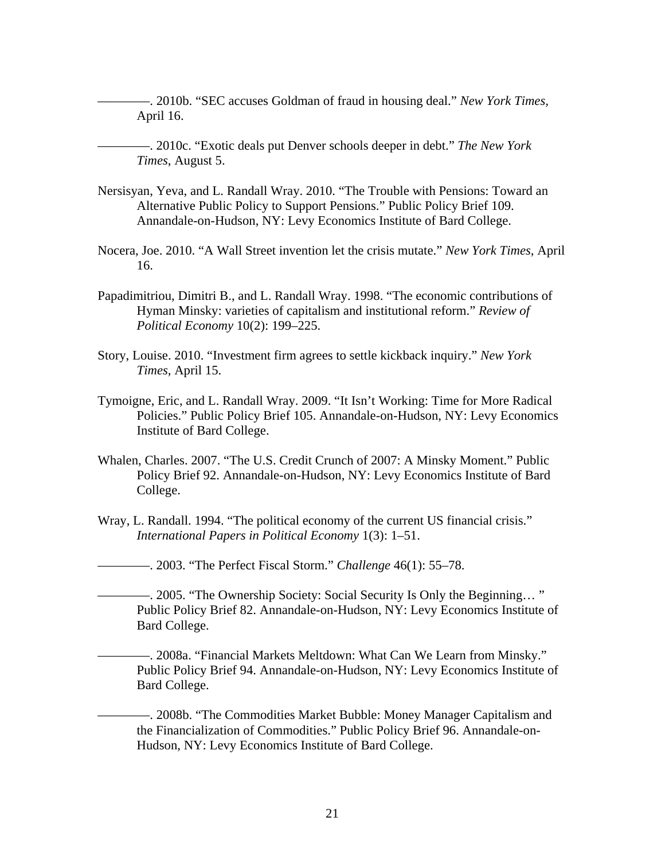————. 2010b. "SEC accuses Goldman of fraud in housing deal." *New York Times,* April 16.

————. 2010c. "Exotic deals put Denver schools deeper in debt." *The New York Times*, August 5.

- Nersisyan, Yeva, and L. Randall Wray. 2010. "The Trouble with Pensions: Toward an Alternative Public Policy to Support Pensions." Public Policy Brief 109. Annandale-on-Hudson, NY: Levy Economics Institute of Bard College.
- Nocera, Joe. 2010. "A Wall Street invention let the crisis mutate." *New York Times,* April 16.
- Papadimitriou, Dimitri B., and L. Randall Wray. 1998. "The economic contributions of Hyman Minsky: varieties of capitalism and institutional reform." *Review of Political Economy* 10(2): 199–225.
- Story, Louise. 2010. "Investment firm agrees to settle kickback inquiry." *New York Times,* April 15.
- Tymoigne, Eric, and L. Randall Wray. 2009. "It Isn't Working: Time for More Radical Policies." Public Policy Brief 105. Annandale-on-Hudson, NY: Levy Economics Institute of Bard College.
- Whalen, Charles. 2007. "The U.S. Credit Crunch of 2007: A Minsky Moment." Public Policy Brief 92. Annandale-on-Hudson, NY: Levy Economics Institute of Bard College.
- Wray, L. Randall. 1994. "The political economy of the current US financial crisis." *International Papers in Political Economy* 1(3): 1–51.

————. 2003. "The Perfect Fiscal Storm." *Challenge* 46(1): 55–78.

————. 2005. "The Ownership Society: Social Security Is Only the Beginning… " Public Policy Brief 82. Annandale-on-Hudson, NY: Levy Economics Institute of Bard College.

————. 2008a. "Financial Markets Meltdown: What Can We Learn from Minsky." Public Policy Brief 94. Annandale-on-Hudson, NY: Levy Economics Institute of Bard College.

————. 2008b. "The Commodities Market Bubble: Money Manager Capitalism and the Financialization of Commodities." Public Policy Brief 96. Annandale-on-Hudson, NY: Levy Economics Institute of Bard College.